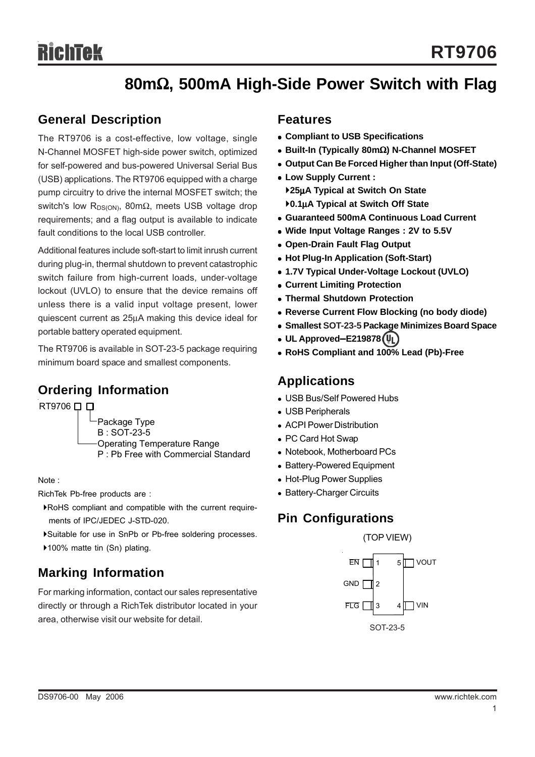# **80m**Ω**, 500mA High-Side Power Switch with Flag**

## **General Description**

The RT9706 is a cost-effective, low voltage, single N-Channel MOSFET high-side power switch, optimized for self-powered and bus-powered Universal Serial Bus (USB) applications. The RT9706 equipped with a charge pump circuitry to drive the internal MOSFET switch; the switch's low R<sub>DS(ON)</sub>, 80mΩ, meets USB voltage drop requirements; and a flag output is available to indicate fault conditions to the local USB controller.

Additional features include soft-start to limit inrush current during plug-in, thermal shutdown to prevent catastrophic switch failure from high-current loads, under-voltage lockout (UVLO) to ensure that the device remains off unless there is a valid input voltage present, lower quiescent current as 25μA making this device ideal for portable battery operated equipment.

The RT9706 is available in SOT-23-5 package requiring minimum board space and smallest components.

## **Ordering Information**

RT9706 □ □

Package Type B : SOT-23-5 Operating Temperature Range P : Pb Free with Commercial Standard

Note :

RichTek Pb-free products are :

- `RoHS compliant and compatible with the current require ments of IPC/JEDEC J-STD-020.
- `Suitable for use in SnPb or Pb-free soldering processes.

▶100% matte tin (Sn) plating.

## **Marking Information**

For marking information, contact our sales representative directly or through a RichTek distributor located in your area, otherwise visit our website for detail.

## **Features**

- <sup>z</sup> **Compliant to USB Specifications**
- <sup>z</sup> **Built-In (Typically 80m**Ω**) N-Channel MOSFET**
- **Output Can Be Forced Higher than Input (Off-State)**
- <sup>z</sup> **Low Supply Current :** `**25**μ**A Typical at Switch On State** `**0.1**μ**A Typical at Switch Off State**
- <sup>z</sup> **Guaranteed 500mA Continuous Load Current**
- Wide Input Voltage Ranges : 2V to 5.5V
- **Open-Drain Fault Flag Output**
- <sup>z</sup> **Hot Plug-In Application (Soft-Start)**
- <sup>z</sup> **1.7V Typical Under-Voltage Lockout (UVLO)**
- **Current Limiting Protection**
- **Thermal Shutdown Protection**
- **Reverse Current Flow Blocking (no body diode)**
- $\bullet$  **Smallest SOT-23-5 Package Minimizes Board Space**
- <sup>z</sup> **UL Approved**−**E219878**
- RoHS Compliant and 100% Lead (Pb)-Free

### **Applications**

- USB Bus/Self Powered Hubs
- USB Peripherals
- ACPI Power Distribution
- PC Card Hot Swap
- Notebook, Motherboard PCs
- Battery-Powered Equipment
- Hot-Plug Power Supplies
- Battery-Charger Circuits

## **Pin Configurations**

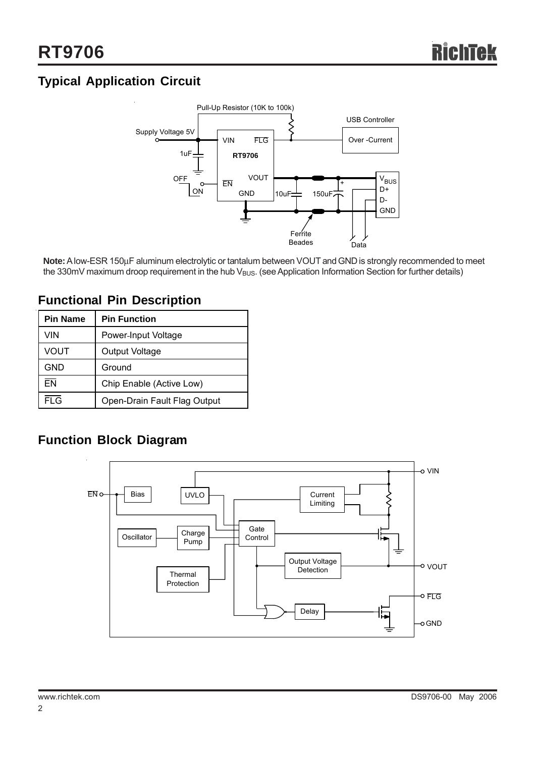# **Typical Application Circuit**



**Note:** A low-ESR 150μF aluminum electrolytic or tantalum between VOUT and GND is strongly recommended to meet the 330mV maximum droop requirement in the hub  $V_{BUS}$ . (see Application Information Section for further details)

| <b>Pin Name</b> | <b>Pin Function</b>          |
|-----------------|------------------------------|
| VIN             | Power-Input Voltage          |
| VOUT            | Output Voltage               |
| <b>GND</b>      | Ground                       |
| <b>FN</b>       | Chip Enable (Active Low)     |
| <b>FLG</b>      | Open-Drain Fault Flag Output |

## **Functional Pin Description**

# **Function Block Diagram**

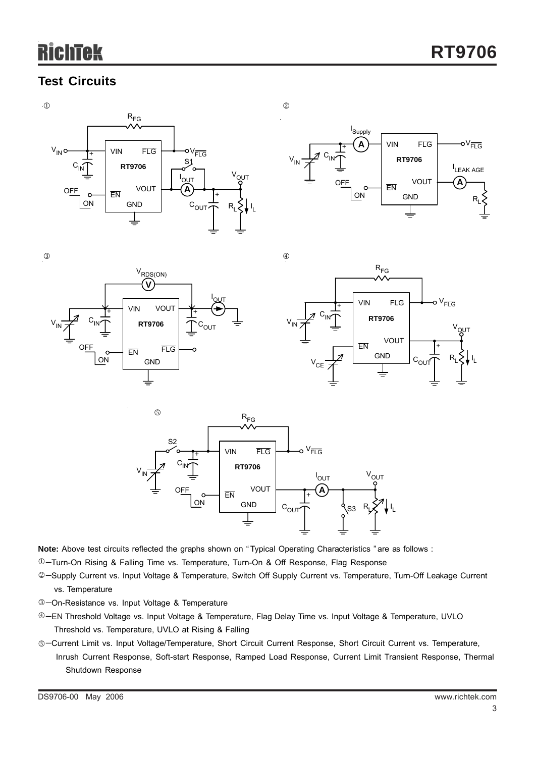# chtek

# **Test Circuits**











**Note:** Above test circuits reflected the graphs shown on " Typical Operating Characteristics " are as follows :

−Turn-On Rising & Falling Time vs. Temperature, Turn-On & Off Response, Flag Response 1

- ©-Supply Current vs. Input Voltage & Temperature, Switch Off Supply Current vs. Temperature, Turn-Off Leakage Current vs. Temperature
- −On-Resistance vs. Input Voltage & Temperature 3
- ⊕-EN Threshold Voltage vs. Input Voltage & Temperature, Flag Delay Time vs. Input Voltage & Temperature, UVLO Threshold vs. Temperature, UVLO at Rising & Falling
- ©-Current Limit vs. Input Voltage/Temperature, Short Circuit Current Response, Short Circuit Current vs. Temperature, Inrush Current Response, Soft-start Response, Ramped Load Response, Current Limit Transient Response, Thermal Shutdown Response

DS9706-00 May 2006 www.richtek.com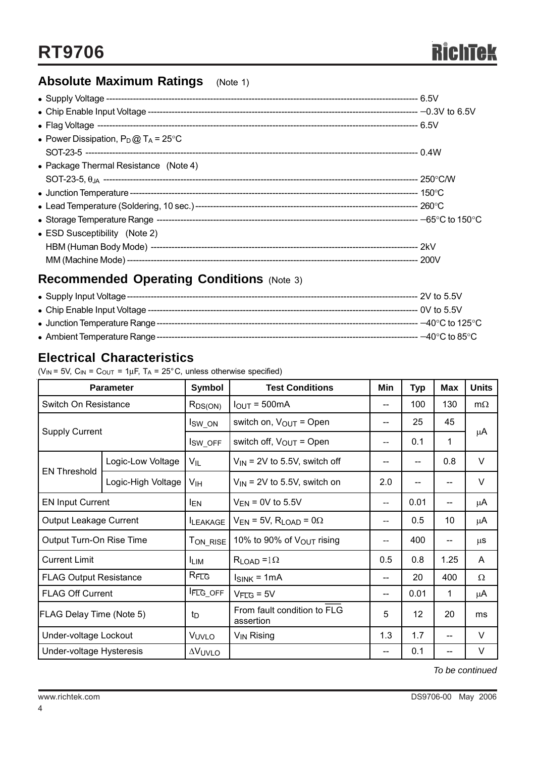# **Absolute Maximum Ratings** (Note 1)

| • Power Dissipation, $P_D @ T_A = 25^{\circ}C$ |  |
|------------------------------------------------|--|
|                                                |  |
| • Package Thermal Resistance (Note 4)          |  |
|                                                |  |
|                                                |  |
|                                                |  |
|                                                |  |
| • ESD Susceptibility (Note 2)                  |  |
|                                                |  |
|                                                |  |
|                                                |  |

# **Recommended Operating Conditions** (Note 3)

| • Supply Input Voltage ---       | -- 2V to 5.5V                       |
|----------------------------------|-------------------------------------|
| • Chip Enable Input Voltage ---- |                                     |
| • Junction Temperature Range --- | $-40^{\circ}$ C to 125 $^{\circ}$ C |
| • Ambient Temperature Range ---  | $-40^{\circ}$ C to 85 $^{\circ}$ C  |

## **Electrical Characteristics**

( $V_{IN}$  = 5V,  $C_{IN}$  =  $C_{OUT}$  = 1 $\mu$ F, T<sub>A</sub> = 25°C, unless otherwise specified)

|                               | <b>Parameter</b>   | Symbol                  | <b>Test Conditions</b>                        | Min | <b>Typ</b> | Max  | <b>Units</b> |  |
|-------------------------------|--------------------|-------------------------|-----------------------------------------------|-----|------------|------|--------------|--|
| Switch On Resistance          |                    | $R_{DS(ON)}$            | $I_{OUT} = 500mA$                             | $-$ | 100        | 130  | $m\Omega$    |  |
| <b>Supply Current</b>         |                    | lsw_on                  | switch on, $V_{\text{OUT}}$ = Open            | --  | 25         | 45   | μA           |  |
|                               |                    | I <sub>SW_OFF</sub>     | switch off, $V_{OUT}$ = Open                  | --  | 0.1        | 1    |              |  |
| <b>EN Threshold</b>           | Logic-Low Voltage  | V <sub>IL</sub>         | $V_{\text{IN}}$ = 2V to 5.5V, switch off      |     | --         | 0.8  | $\vee$       |  |
|                               | Logic-High Voltage | V <sub>IH</sub>         | $V_{IN}$ = 2V to 5.5V, switch on              | 2.0 | --         | --   | V            |  |
| <b>EN Input Current</b>       |                    | l <sub>EN</sub>         | $V_{EN}$ = 0V to 5.5V                         | --  | 0.01       | --   | μA           |  |
| Output Leakage Current        |                    | <b>ILEAKAGE</b>         | $V_{EN}$ = 5V, R <sub>LOAD</sub> = 0 $\Omega$ | --  | 0.5        | 10   | μA           |  |
| Output Turn-On Rise Time      |                    | $T_{\mathsf{ON\_RISE}}$ | 10% to 90% of $V_{\text{OUT}}$ rising         | --  | 400        | --   | μS           |  |
| <b>Current Limit</b>          |                    | <b>LIM</b>              | $R_{LOAD} = 1\Omega$                          | 0.5 | 0.8        | 1.25 | A            |  |
| <b>FLAG Output Resistance</b> |                    | RFLG                    | $I_{SINK} = 1mA$                              | --  | 20         | 400  | Ω            |  |
| <b>FLAG Off Current</b>       |                    | <b>FLG_OFF</b>          | $V_{\text{FLG}} = 5V$                         | --  | 0.01       | 1    | μA           |  |
| FLAG Delay Time (Note 5)      |                    | $t_{\rm D}$             | From fault condition to FLG<br>assertion      | 5   | 12         | 20   | ms           |  |
| Under-voltage Lockout         |                    | VUVLO                   | V <sub>IN</sub> Rising                        | 1.3 | 1.7        |      | V            |  |
| Under-voltage Hysteresis      |                    | <b>AVUVLO</b>           |                                               | --  | 0.1        |      | V            |  |

*To be continued*

4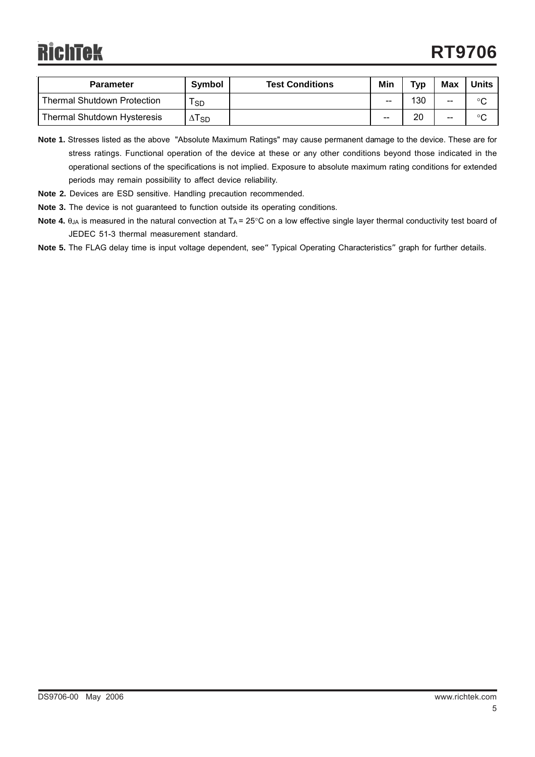| <b>Parameter</b>                   | <b>Symbol</b>             | <b>Test Conditions</b> | Min   | Typ | <b>Max</b> | Units   |
|------------------------------------|---------------------------|------------------------|-------|-----|------------|---------|
| <b>Thermal Shutdown Protection</b> | <b>SD</b>                 |                        | --    | 130 | $- -$      | °C      |
| <b>Thermal Shutdown Hysteresis</b> | $\Delta$ T $_{\text{SD}}$ |                        | $- -$ | 20  | $- -$      | $\circ$ |

**Note 1.** Stresses listed as the above "Absolute Maximum Ratings" may cause permanent damage to the device. These are for stress ratings. Functional operation of the device at these or any other conditions beyond those indicated in the operational sections of the specifications is not implied. Exposure to absolute maximum rating conditions for extended periods may remain possibility to affect device reliability.

- **Note 2.** Devices are ESD sensitive. Handling precaution recommended.
- **Note 3.** The device is not guaranteed to function outside its operating conditions.
- Note 4. θ<sub>JA</sub> is measured in the natural convection at T<sub>A</sub> = 25°C on a low effective single layer thermal conductivity test board of JEDEC 51-3 thermal measurement standard.
- Note 5. The FLAG delay time is input voltage dependent, see<sup>"</sup> Typical Operating Characteristics" graph for further details.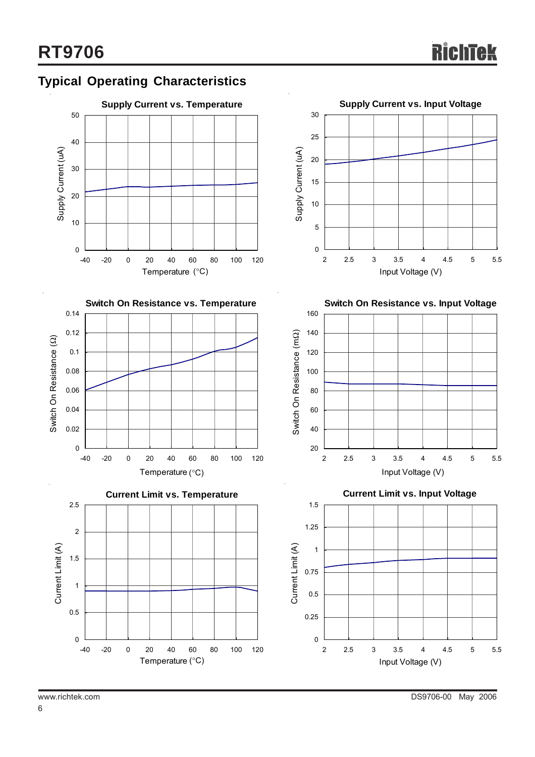









**Switch On Resistance vs. Input Voltage**



**Current Limit vs. Input Voltage**

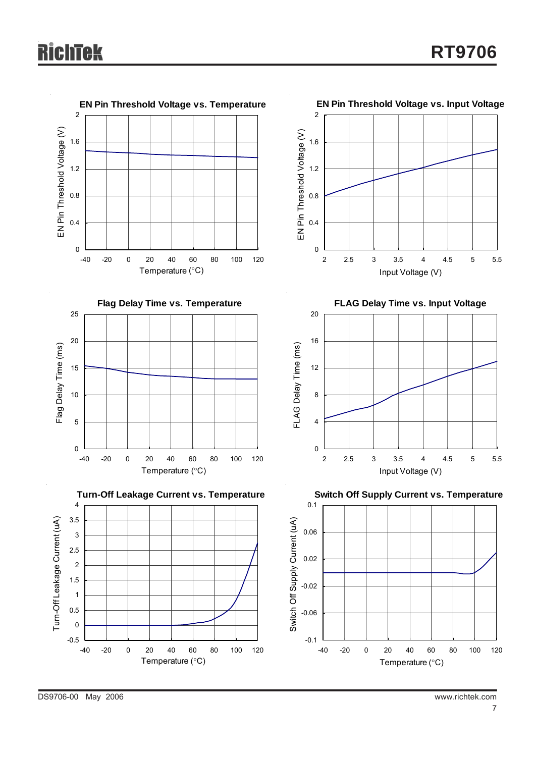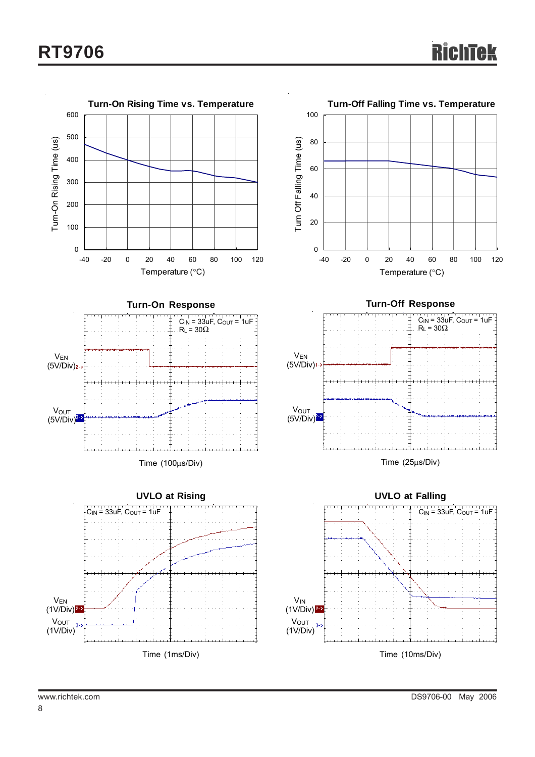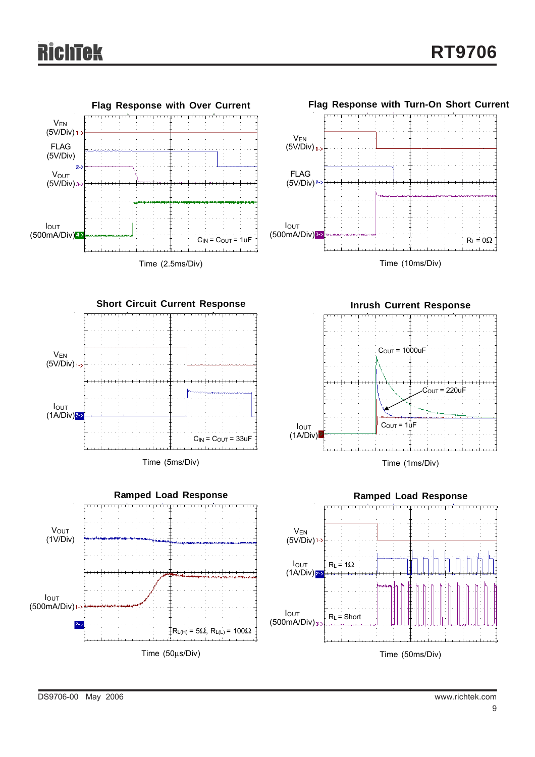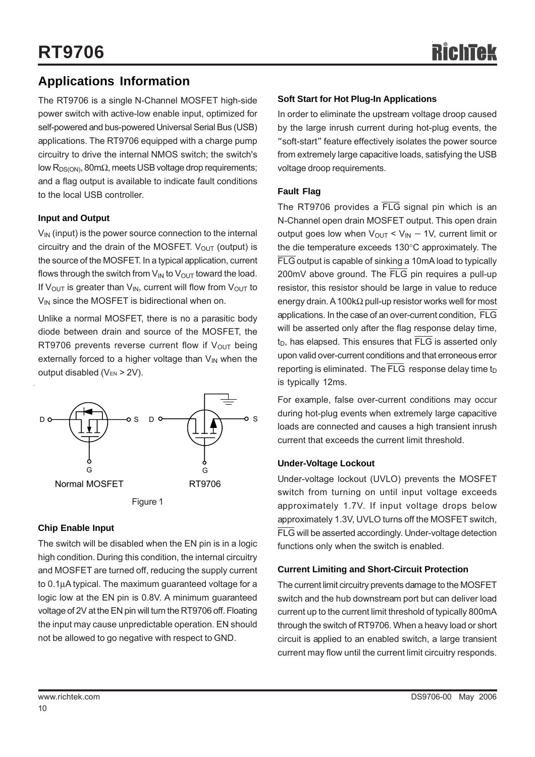## **Applications Information**

The RT9706 is a single N-Channel MOSFET high-side power switch with active-low enable input, optimized for self-powered and bus-powered Universal Serial Bus (USB) applications. The RT9706 equipped with a charge pump circuitry to drive the internal NMOS switch; the switch's low  $R_{DS(ON)}$ , 80m $\Omega$ , meets USB voltage drop requirements; and a flag output is available to indicate fault conditions to the local USB controller.

#### **Input and Output**

 $V_{IN}$  (input) is the power source connection to the internal circuitry and the drain of the MOSFET.  $V_{OUT}$  (output) is the source of the MOSFET. In a typical application, current flows through the switch from  $V_{IN}$  to  $V_{OUT}$  toward the load. If V<sub>OUT</sub> is greater than V<sub>IN</sub>, current will flow from V<sub>OUT</sub> to  $V_{IN}$  since the MOSFET is bidirectional when on.

Unlike a normal MOSFET, there is no a parasitic body diode between drain and source of the MOSFET, the RT9706 prevents reverse current flow if  $V_{\text{OUT}}$  being externally forced to a higher voltage than  $V_{IN}$  when the output disabled ( $V_{EN} > 2V$ ).



#### **Chip Enable Input**

The switch will be disabled when the EN pin is in a logic high condition. During this condition, the internal circuitry and MOSFET are turned off, reducing the supply current to 0.1μA typical. The maximum guaranteed voltage for a logic low at the EN pin is 0.8V. A minimum guaranteed voltage of 2V at the EN pin will turn the RT9706 off. Floating the input may cause unpredictable operation. EN should not be allowed to go negative with respect to GND.

#### **Soft Start for Hot Plug-In Applications**

In order to eliminate the upstream voltage droop caused by the large inrush current during hot-plug events, the "soft-start" feature effectively isolates the power source from extremely large capacitive loads, satisfying the USB voltage droop requirements.

#### **Fault Flag**

The RT9706 provides a  $\overline{FLG}$  signal pin which is an N-Channel open drain MOSFET output. This open drain output goes low when  $V_{\text{OUT}}$  <  $V_{\text{IN}}$  – 1V, current limit or the die temperature exceeds 130°C approximately. The FLG output is capable of sinking a 10mA load to typically 200mV above ground. The FLG pin requires a pull-up resistor, this resistor should be large in value to reduce energy drain. A 100kΩ pull-up resistor works well for most applications. In the case of an over-current condition, FLG will be asserted only after the flag response delay time,  $t_D$ , has elapsed. This ensures that  $\overline{\text{FLG}}$  is asserted only upon valid over-current conditions and that erroneous error reporting is eliminated. The  $\overline{\text{FLG}}$  response delay time t<sub>D</sub> is typically 12ms.

For example, false over-current conditions may occur during hot-plug events when extremely large capacitive loads are connected and causes a high transient inrush current that exceeds the current limit threshold.

#### **Under-Voltage Lockout**

Under-voltage lockout (UVLO) prevents the MOSFET switch from turning on until input voltage exceeds approximately 1.7V. If input voltage drops below approximately 1.3V, UVLO turns off the MOSFET switch, FLG will be asserted accordingly. Under-voltage detection functions only when the switch is enabled.

#### **Current Limiting and Short-Circuit Protection**

The current limit circuitry prevents damage to the MOSFET switch and the hub downstream port but can deliver load current up to the current limit threshold of typically 800mA through the switch of RT9706. When a heavy load or short circuit is applied to an enabled switch, a large transient current may flow until the current limit circuitry responds.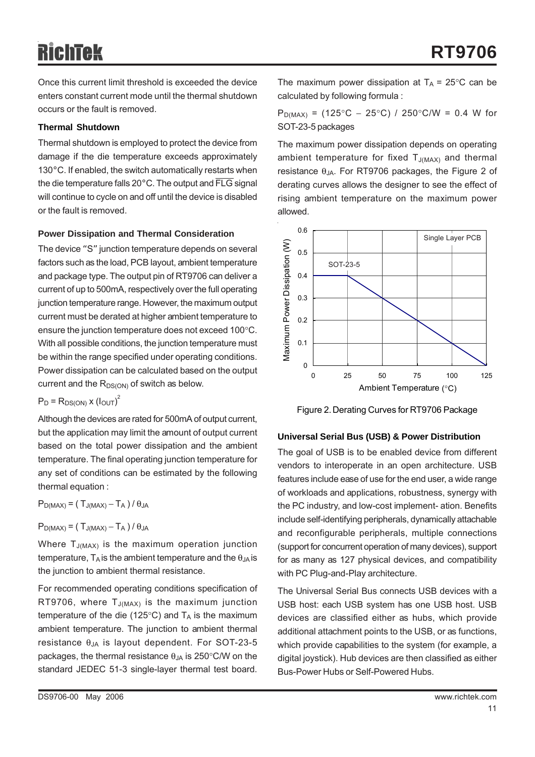Once this current limit threshold is exceeded the device enters constant current mode until the thermal shutdown occurs or the fault is removed.

#### **Thermal Shutdown**

Thermal shutdown is employed to protect the device from damage if the die temperature exceeds approximately 130°C. If enabled, the switch automatically restarts when the die temperature falls 20°C. The output and FLG signal will continue to cycle on and off until the device is disabled or the fault is removed.

#### **Power Dissipation and Thermal Consideration**

The device "S" junction temperature depends on several factors such as the load, PCB layout, ambient temperature and package type. The output pin of RT9706 can deliver a current of up to 500mA, respectively over the full operating junction temperature range. However, the maximum output current must be derated at higher ambient temperature to ensure the junction temperature does not exceed 100°C. With all possible conditions, the junction temperature must be within the range specified under operating conditions. Power dissipation can be calculated based on the output current and the  $R_{DS(ON)}$  of switch as below.

 $P_D = R_{DS(ON)} x (I_{OUT})^2$ 

Although the devices are rated for 500mA of output current, but the application may limit the amount of output current based on the total power dissipation and the ambient temperature. The final operating junction temperature for any set of conditions can be estimated by the following thermal equation :

 $P_{D(MAX)} = (T_{J(MAX)} - T_A) / \theta_{JA}$ 

 $P_{D(MAX)} = (T_{J(MAX)} - T_A)/\theta_{JA}$ 

Where  $T_{J(MAX)}$  is the maximum operation junction temperature,  $T_A$  is the ambient temperature and the  $\theta_{JA}$  is the junction to ambient thermal resistance.

For recommended operating conditions specification of RT9706, where  $T_{J(MAX)}$  is the maximum junction temperature of the die (125 $\degree$ C) and T<sub>A</sub> is the maximum ambient temperature. The junction to ambient thermal resistance  $θ_{JA}$  is layout dependent. For SOT-23-5 packages, the thermal resistance  $\theta_{JA}$  is 250°C/W on the standard JEDEC 51-3 single-layer thermal test board.

The maximum power dissipation at  $T_A = 25^{\circ}$ C can be calculated by following formula :

 $P_{D(MAX)}$  = (125°C – 25°C) / 250°C/W = 0.4 W for SOT-23-5 packages

The maximum power dissipation depends on operating ambient temperature for fixed  $T_{J(MAX)}$  and thermal resistance  $θ_{JA}$ . For RT9706 packages, the Figure 2 of derating curves allows the designer to see the effect of rising ambient temperature on the maximum power allowed.



Figure 2. Derating Curves for RT9706 Package

#### **Universal Serial Bus (USB) & Power Distribution**

The goal of USB is to be enabled device from different vendors to interoperate in an open architecture. USB features include ease of use for the end user, a wide range of workloads and applications, robustness, synergy with the PC industry, and low-cost implement- ation. Benefits include self-identifying peripherals, dynamically attachable and reconfigurable peripherals, multiple connections (support for concurrent operation of many devices), support for as many as 127 physical devices, and compatibility with PC Plug-and-Play architecture.

The Universal Serial Bus connects USB devices with a USB host: each USB system has one USB host. USB devices are classified either as hubs, which provide additional attachment points to the USB, or as functions, which provide capabilities to the system (for example, a digital joystick). Hub devices are then classified as either Bus-Power Hubs or Self-Powered Hubs.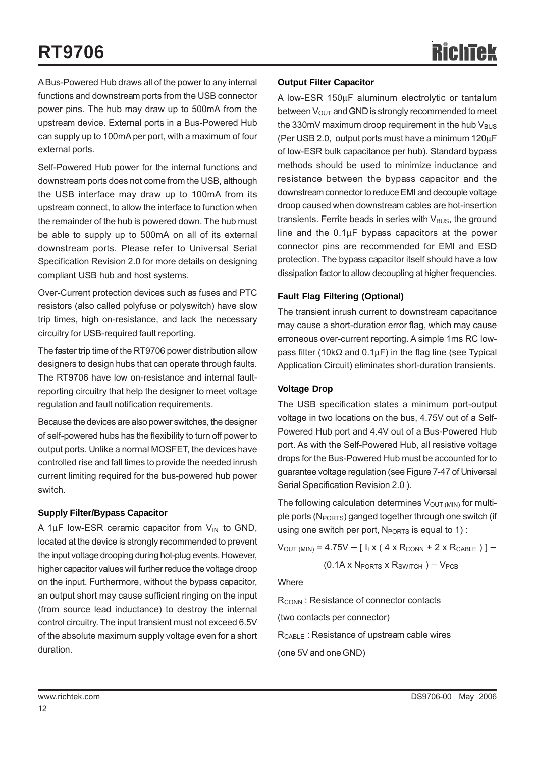A Bus-Powered Hub draws all of the power to any internal functions and downstream ports from the USB connector power pins. The hub may draw up to 500mA from the upstream device. External ports in a Bus-Powered Hub can supply up to 100mA per port, with a maximum of four external ports.

Self-Powered Hub power for the internal functions and downstream ports does not come from the USB, although the USB interface may draw up to 100mA from its upstream connect, to allow the interface to function when the remainder of the hub is powered down. The hub must be able to supply up to 500mA on all of its external downstream ports. Please refer to Universal Serial Specification Revision 2.0 for more details on designing compliant USB hub and host systems.

Over-Current protection devices such as fuses and PTC resistors (also called polyfuse or polyswitch) have slow trip times, high on-resistance, and lack the necessary circuitry for USB-required fault reporting.

The faster trip time of the RT9706 power distribution allow designers to design hubs that can operate through faults. The RT9706 have low on-resistance and internal faultreporting circuitry that help the designer to meet voltage regulation and fault notification requirements.

Because the devices are also power switches, the designer of self-powered hubs has the flexibility to turn off power to output ports. Unlike a normal MOSFET, the devices have controlled rise and fall times to provide the needed inrush current limiting required for the bus-powered hub power switch.

#### **Supply Filter/Bypass Capacitor**

A 1 $\mu$ F low-ESR ceramic capacitor from  $V_{IN}$  to GND, located at the device is strongly recommended to prevent the input voltage drooping during hot-plug events. However, higher capacitor values will further reduce the voltage droop on the input. Furthermore, without the bypass capacitor, an output short may cause sufficient ringing on the input (from source lead inductance) to destroy the internal control circuitry. The input transient must not exceed 6.5V of the absolute maximum supply voltage even for a short duration.

#### **Output Filter Capacitor**

A low-ESR 150μF aluminum electrolytic or tantalum between  $V_{\text{OUT}}$  and GND is strongly recommended to meet the 330mV maximum droop requirement in the hub  $V_{\text{BUS}}$ (Per USB 2.0, output ports must have a minimum 120μF of low-ESR bulk capacitance per hub). Standard bypass methods should be used to minimize inductance and resistance between the bypass capacitor and the downstream connector to reduce EMI and decouple voltage droop caused when downstream cables are hot-insertion transients. Ferrite beads in series with  $V_{\text{BUS}}$ , the ground line and the  $0.1\mu$ F bypass capacitors at the power connector pins are recommended for EMI and ESD protection. The bypass capacitor itself should have a low dissipation factor to allow decoupling at higher frequencies.

#### **Fault Flag Filtering (Optional)**

The transient inrush current to downstream capacitance may cause a short-duration error flag, which may cause erroneous over-current reporting. A simple 1ms RC lowpass filter (10kΩ and  $0.1\mu$ F) in the flag line (see Typical Application Circuit) eliminates short-duration transients.

#### **Voltage Drop**

The USB specification states a minimum port-output voltage in two locations on the bus, 4.75V out of a Self-Powered Hub port and 4.4V out of a Bus-Powered Hub port. As with the Self-Powered Hub, all resistive voltage drops for the Bus-Powered Hub must be accounted for to guarantee voltage regulation (see Figure 7-47 of Universal Serial Specification Revision 2.0 ).

The following calculation determines  $V<sub>OUT (MIN)</sub>$  for multiple ports (N<sub>PORTS</sub>) ganged together through one switch (if using one switch per port,  $N_{PORTS}$  is equal to 1) :

 $V_{\text{OUT (MIN)}} = 4.75V - [I_{1} \times (4 \times R_{\text{CONN}} + 2 \times R_{\text{CABLE}})] -$ 

$$
(0.1A \times N_{PORTS} \times R_{SWITCH}) - V_{PCB}
$$

**Where** 

R<sub>CONN</sub>: Resistance of connector contacts

(two contacts per connector)

RCABLE : Resistance of upstream cable wires

(one 5V and one GND)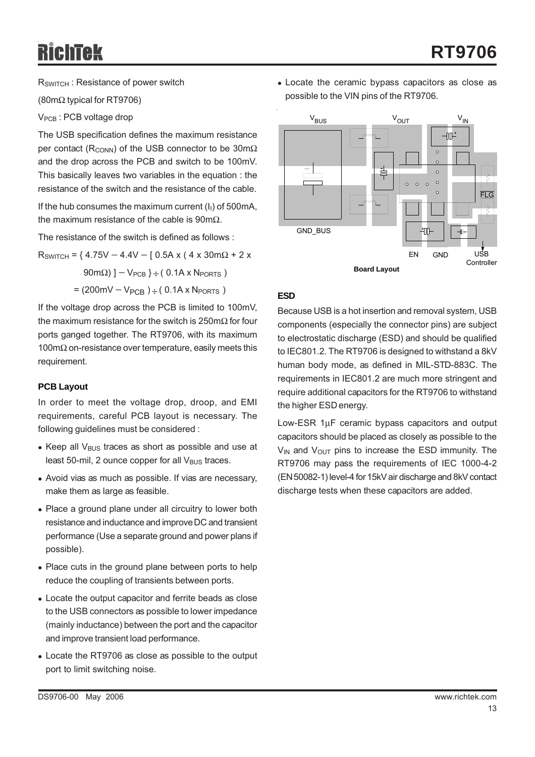RSWITCH : Resistance of power switch

(80mΩ typical for RT9706)

V<sub>PCB</sub>: PCB voltage drop

The USB specification defines the maximum resistance per contact ( $R_{\text{COMN}}$ ) of the USB connector to be 30m $\Omega$ and the drop across the PCB and switch to be 100mV. This basically leaves two variables in the equation : the resistance of the switch and the resistance of the cable.

If the hub consumes the maximum current  $(I<sub>1</sub>)$  of 500mA, the maximum resistance of the cable is  $90 \text{m}\Omega$ .

The resistance of the switch is defined as follows :

 $R_{SWITCH}$  = { 4.75V – 4.4V – [ 0.5A x ( 4 x 30m $\Omega$  + 2 x

 $90 \text{m}\Omega$ ) ] – V<sub>PCB</sub> } ÷ (0.1A x N<sub>PORTS</sub>)

 $= (200 \text{mV} - V_{PCB}) \div (0.1 \text{A} \times N_{PORTS})$ 

If the voltage drop across the PCB is limited to 100mV, the maximum resistance for the switch is 250mΩ for four ports ganged together. The RT9706, with its maximum 100mΩ on-resistance over temperature, easily meets this requirement.

#### **PCB Layout**

In order to meet the voltage drop, droop, and EMI requirements, careful PCB layout is necessary. The following guidelines must be considered :

- $\bullet$  Keep all V<sub>BUS</sub> traces as short as possible and use at least 50-mil, 2 ounce copper for all  $V_{\text{BUS}}$  traces.
- Avoid vias as much as possible. If vias are necessary, make them as large as feasible.
- Place a ground plane under all circuitry to lower both resistance and inductance and improve DC and transient performance (Use a separate ground and power plans if possible).
- Place cuts in the ground plane between ports to help reduce the coupling of transients between ports.
- Locate the output capacitor and ferrite beads as close to the USB connectors as possible to lower impedance (mainly inductance) between the port and the capacitor and improve transient load performance.
- Locate the RT9706 as close as possible to the output port to limit switching noise.

• Locate the ceramic bypass capacitors as close as possible to the VIN pins of the RT9706.



#### **ESD**

Because USB is a hot insertion and removal system, USB components (especially the connector pins) are subject to electrostatic discharge (ESD) and should be qualified to IEC801.2. The RT9706 is designed to withstand a 8kV human body mode, as defined in MIL-STD-883C. The requirements in IEC801.2 are much more stringent and require additional capacitors for the RT9706 to withstand the higher ESD energy.

Low-ESR 1μF ceramic bypass capacitors and output capacitors should be placed as closely as possible to the  $V_{IN}$  and  $V_{OUT}$  pins to increase the ESD immunity. The RT9706 may pass the requirements of IEC 1000-4-2 (EN 50082-1) level-4 for 15kV air discharge and 8kV contact discharge tests when these capacitors are added.